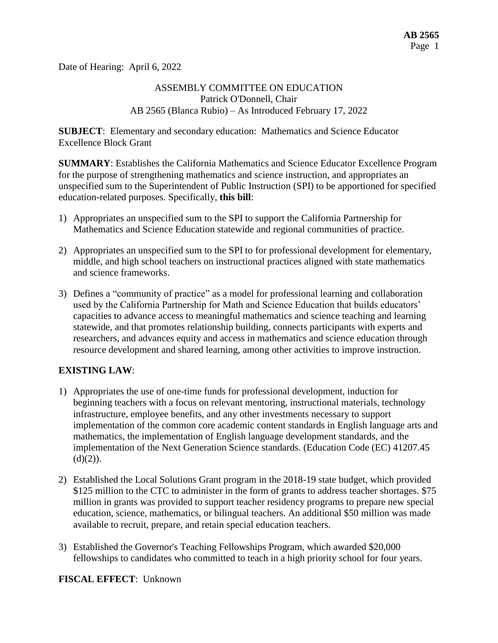Date of Hearing: April 6, 2022

## ASSEMBLY COMMITTEE ON EDUCATION Patrick O'Donnell, Chair AB 2565 (Blanca Rubio) – As Introduced February 17, 2022

**SUBJECT**: Elementary and secondary education: Mathematics and Science Educator Excellence Block Grant

**SUMMARY**: Establishes the California Mathematics and Science Educator Excellence Program for the purpose of strengthening mathematics and science instruction, and appropriates an unspecified sum to the Superintendent of Public Instruction (SPI) to be apportioned for specified education-related purposes. Specifically, **this bill**:

- 1) Appropriates an unspecified sum to the SPI to support the California Partnership for Mathematics and Science Education statewide and regional communities of practice.
- 2) Appropriates an unspecified sum to the SPI to for professional development for elementary, middle, and high school teachers on instructional practices aligned with state mathematics and science frameworks.
- 3) Defines a "community of practice" as a model for professional learning and collaboration used by the California Partnership for Math and Science Education that builds educators' capacities to advance access to meaningful mathematics and science teaching and learning statewide, and that promotes relationship building, connects participants with experts and researchers, and advances equity and access in mathematics and science education through resource development and shared learning, among other activities to improve instruction.

## **EXISTING LAW**:

- 1) Appropriates the use of one-time funds for professional development, induction for beginning teachers with a focus on relevant mentoring, instructional materials, technology infrastructure, employee benefits, and any other investments necessary to support implementation of the common core academic content standards in English language arts and mathematics, the implementation of English language development standards, and the implementation of the Next Generation Science standards. (Education Code (EC) 41207.45  $(d)(2)$ ).
- 2) Established the Local Solutions Grant program in the 2018-19 state budget, which provided \$125 million to the CTC to administer in the form of grants to address teacher shortages. \$75 million in grants was provided to support teacher residency programs to prepare new special education, science, mathematics, or bilingual teachers. An additional \$50 million was made available to recruit, prepare, and retain special education teachers.
- 3) Established the Governor's Teaching Fellowships Program, which awarded \$20,000 fellowships to candidates who committed to teach in a high priority school for four years.

#### **FISCAL EFFECT**: Unknown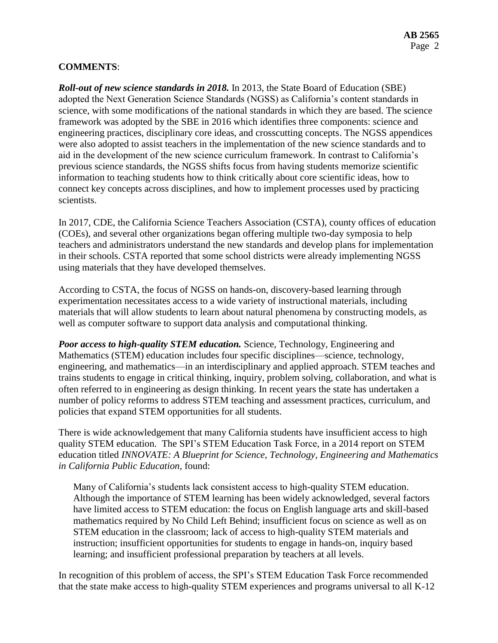## **COMMENTS**:

*Roll-out of new science standards in 2018.* In 2013, the State Board of Education (SBE) adopted the Next Generation Science Standards (NGSS) as California's content standards in science, with some modifications of the national standards in which they are based. The science framework was adopted by the SBE in 2016 which identifies three components: science and engineering practices, disciplinary core ideas, and crosscutting concepts. The NGSS appendices were also adopted to assist teachers in the implementation of the new science standards and to aid in the development of the new science curriculum framework. In contrast to California's previous science standards, the NGSS shifts focus from having students memorize scientific information to teaching students how to think critically about core scientific ideas, how to connect key concepts across disciplines, and how to implement processes used by practicing scientists.

In 2017, CDE, the California Science Teachers Association (CSTA), county offices of education (COEs), and several other organizations began offering multiple two-day symposia to help teachers and administrators understand the new standards and develop plans for implementation in their schools. CSTA reported that some school districts were already implementing NGSS using materials that they have developed themselves.

According to CSTA, the focus of NGSS on hands-on, discovery-based learning through experimentation necessitates access to a wide variety of instructional materials, including materials that will allow students to learn about natural phenomena by constructing models, as well as computer software to support data analysis and computational thinking.

*Poor access to high-quality STEM education.* Science, Technology, Engineering and Mathematics (STEM) education includes four specific disciplines—science, technology, engineering, and mathematics—in an interdisciplinary and applied approach. STEM teaches and trains students to engage in critical thinking, inquiry, problem solving, collaboration, and what is often referred to in engineering as design thinking. In recent years the state has undertaken a number of policy reforms to address STEM teaching and assessment practices, curriculum, and policies that expand STEM opportunities for all students.

There is wide acknowledgement that many California students have insufficient access to high quality STEM education. The SPI's STEM Education Task Force, in a 2014 report on STEM education titled *INNOVATE: A Blueprint for Science, Technology, Engineering and Mathematics in California Public Education,* found:

Many of California's students lack consistent access to high-quality STEM education. Although the importance of STEM learning has been widely acknowledged, several factors have limited access to STEM education: the focus on English language arts and skill-based mathematics required by No Child Left Behind; insufficient focus on science as well as on STEM education in the classroom; lack of access to high-quality STEM materials and instruction; insufficient opportunities for students to engage in hands-on, inquiry based learning; and insufficient professional preparation by teachers at all levels.

In recognition of this problem of access, the SPI's STEM Education Task Force recommended that the state make access to high-quality STEM experiences and programs universal to all K-12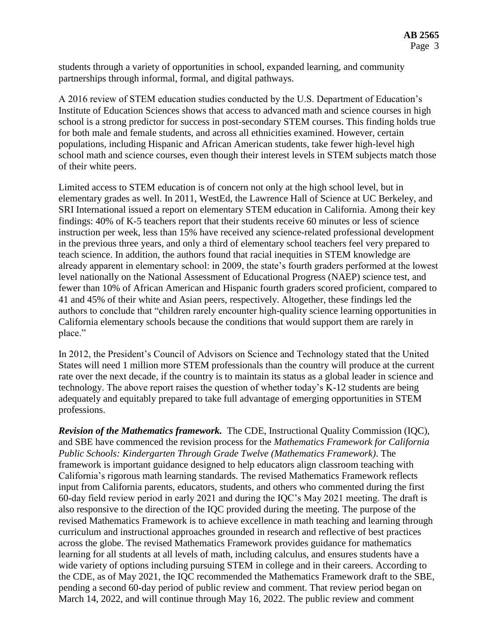students through a variety of opportunities in school, expanded learning, and community partnerships through informal, formal, and digital pathways.

A 2016 review of STEM education studies conducted by the U.S. Department of Education's Institute of Education Sciences shows that access to advanced math and science courses in high school is a strong predictor for success in post-secondary STEM courses. This finding holds true for both male and female students, and across all ethnicities examined. However, certain populations, including Hispanic and African American students, take fewer high-level high school math and science courses, even though their interest levels in STEM subjects match those of their white peers.

Limited access to STEM education is of concern not only at the high school level, but in elementary grades as well. In 2011, WestEd, the Lawrence Hall of Science at UC Berkeley, and SRI International issued a report on elementary STEM education in California. Among their key findings: 40% of K-5 teachers report that their students receive 60 minutes or less of science instruction per week, less than 15% have received any science-related professional development in the previous three years, and only a third of elementary school teachers feel very prepared to teach science. In addition, the authors found that racial inequities in STEM knowledge are already apparent in elementary school: in 2009, the state's fourth graders performed at the lowest level nationally on the National Assessment of Educational Progress (NAEP) science test, and fewer than 10% of African American and Hispanic fourth graders scored proficient, compared to 41 and 45% of their white and Asian peers, respectively. Altogether, these findings led the authors to conclude that "children rarely encounter high-quality science learning opportunities in California elementary schools because the conditions that would support them are rarely in place."

In 2012, the President's Council of Advisors on Science and Technology stated that the United States will need 1 million more STEM professionals than the country will produce at the current rate over the next decade, if the country is to maintain its status as a global leader in science and technology. The above report raises the question of whether today's K-12 students are being adequately and equitably prepared to take full advantage of emerging opportunities in STEM professions.

*Revision of the Mathematics framework.* The CDE, Instructional Quality Commission (IQC), and SBE have commenced the revision process for the *Mathematics Framework for California Public Schools: Kindergarten Through Grade Twelve (Mathematics Framework)*. The framework is important guidance designed to help educators align classroom teaching with California's rigorous math learning standards. The revised Mathematics Framework reflects input from California parents, educators, students, and others who commented during the first 60-day field review period in early 2021 and during the IQC's May 2021 meeting. The draft is also responsive to the direction of the IQC provided during the meeting. The purpose of the revised Mathematics Framework is to achieve excellence in math teaching and learning through curriculum and instructional approaches grounded in research and reflective of best practices across the globe. The revised Mathematics Framework provides guidance for mathematics learning for all students at all levels of math, including calculus, and ensures students have a wide variety of options including pursuing STEM in college and in their careers. According to the CDE, as of May 2021, the IQC recommended the Mathematics Framework draft to the SBE, pending a second 60-day period of public review and comment. That review period began on March 14, 2022, and will continue through May 16, 2022. The public review and comment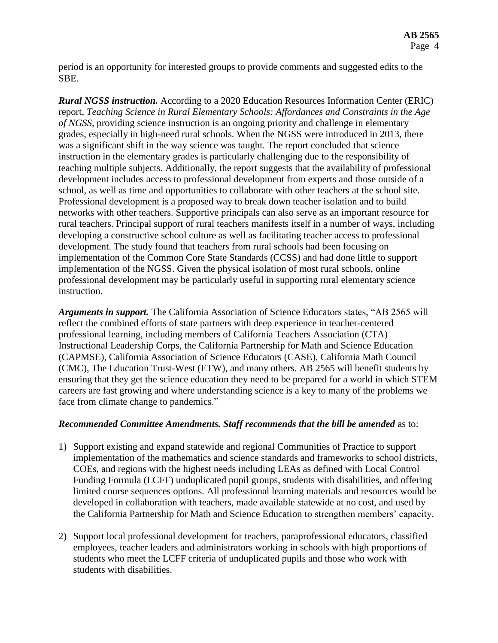period is an opportunity for interested groups to provide comments and suggested edits to the SBE.

*Rural NGSS instruction.* According to a 2020 Education Resources Information Center (ERIC) report, *Teaching Science in Rural Elementary Schools: Affordances and Constraints in the Age of NGSS,* providing science instruction is an ongoing priority and challenge in elementary grades, especially in high-need rural schools. When the NGSS were introduced in 2013, there was a significant shift in the way science was taught. The report concluded that science instruction in the elementary grades is particularly challenging due to the responsibility of teaching multiple subjects. Additionally, the report suggests that the availability of professional development includes access to professional development from experts and those outside of a school, as well as time and opportunities to collaborate with other teachers at the school site. Professional development is a proposed way to break down teacher isolation and to build networks with other teachers. Supportive principals can also serve as an important resource for rural teachers. Principal support of rural teachers manifests itself in a number of ways, including developing a constructive school culture as well as facilitating teacher access to professional development. The study found that teachers from rural schools had been focusing on implementation of the Common Core State Standards (CCSS) and had done little to support implementation of the NGSS. Given the physical isolation of most rural schools, online professional development may be particularly useful in supporting rural elementary science instruction.

*Arguments in support.* The California Association of Science Educators states, "AB 2565 will reflect the combined efforts of state partners with deep experience in teacher-centered professional learning, including members of California Teachers Association (CTA) Instructional Leadership Corps, the California Partnership for Math and Science Education (CAPMSE), California Association of Science Educators (CASE), California Math Council (CMC), The Education Trust-West (ETW), and many others. AB 2565 will benefit students by ensuring that they get the science education they need to be prepared for a world in which STEM careers are fast growing and where understanding science is a key to many of the problems we face from climate change to pandemics."

#### *Recommended Committee Amendments. Staff recommends that the bill be amended* as to:

- 1) Support existing and expand statewide and regional Communities of Practice to support implementation of the mathematics and science standards and frameworks to school districts, COEs, and regions with the highest needs including LEAs as defined with Local Control Funding Formula (LCFF) unduplicated pupil groups, students with disabilities, and offering limited course sequences options. All professional learning materials and resources would be developed in collaboration with teachers, made available statewide at no cost, and used by the California Partnership for Math and Science Education to strengthen members' capacity.
- 2) Support local professional development for teachers, paraprofessional educators, classified employees, teacher leaders and administrators working in schools with high proportions of students who meet the LCFF criteria of unduplicated pupils and those who work with students with disabilities.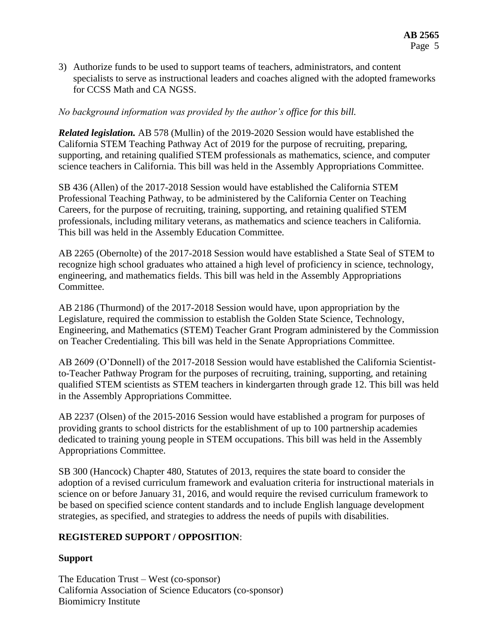3) Authorize funds to be used to support teams of teachers, administrators, and content specialists to serve as instructional leaders and coaches aligned with the adopted frameworks for CCSS Math and CA NGSS.

### *No background information was provided by the author's office for this bill.*

*Related legislation.* AB 578 (Mullin) of the 2019-2020 Session would have established the California STEM Teaching Pathway Act of 2019 for the purpose of recruiting, preparing, supporting, and retaining qualified STEM professionals as mathematics, science, and computer science teachers in California. This bill was held in the Assembly Appropriations Committee.

SB 436 (Allen) of the 2017-2018 Session would have established the California STEM Professional Teaching Pathway, to be administered by the California Center on Teaching Careers, for the purpose of recruiting, training, supporting, and retaining qualified STEM professionals, including military veterans, as mathematics and science teachers in California. This bill was held in the Assembly Education Committee.

AB 2265 (Obernolte) of the 2017-2018 Session would have established a State Seal of STEM to recognize high school graduates who attained a high level of proficiency in science, technology, engineering, and mathematics fields. This bill was held in the Assembly Appropriations Committee.

AB 2186 (Thurmond) of the 2017-2018 Session would have, upon appropriation by the Legislature, required the commission to establish the Golden State Science, Technology, Engineering, and Mathematics (STEM) Teacher Grant Program administered by the Commission on Teacher Credentialing. This bill was held in the Senate Appropriations Committee.

AB 2609 (O'Donnell) of the 2017-2018 Session would have established the California Scientistto-Teacher Pathway Program for the purposes of recruiting, training, supporting, and retaining qualified STEM scientists as STEM teachers in kindergarten through grade 12. This bill was held in the Assembly Appropriations Committee.

AB 2237 (Olsen) of the 2015-2016 Session would have established a program for purposes of providing grants to school districts for the establishment of up to 100 partnership academies dedicated to training young people in STEM occupations. This bill was held in the Assembly Appropriations Committee.

SB 300 (Hancock) Chapter 480, Statutes of 2013, requires the state board to consider the adoption of a revised curriculum framework and evaluation criteria for instructional materials in science on or before January 31, 2016, and would require the revised curriculum framework to be based on specified science content standards and to include English language development strategies, as specified, and strategies to address the needs of pupils with disabilities.

## **REGISTERED SUPPORT / OPPOSITION**:

## **Support**

The Education Trust – West (co-sponsor) California Association of Science Educators (co-sponsor) Biomimicry Institute